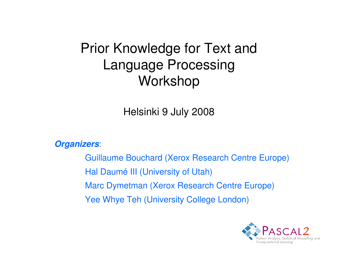### Prior Knowledge for Text andLanguage ProcessingWorkshop

Helsinki 9 July 2008

**Organizers**:

Guillaume Bouchard (Xerox Research Centre Europe)Hal Daumé III (University of Utah)Marc Dymetman (Xerox Research Centre Europe)Yee Whye Teh (University College London)

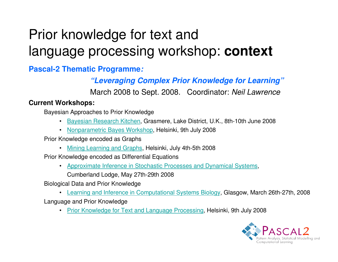# Prior knowledge for text andlanguage processing workshop: **context**

**Pascal-2 Thematic Programme:** 

**"Leveraging Complex Prior Knowledge for Learning"**

March 2008 to Sept. 2008. Coordinator: Neil Lawrence

#### **Current Workshops:**

Bayesian Approaches to Prior Knowledge

- Bayesian Research Kitchen, Grasmere, Lake District, U.K., 8th-10th June 2008
- Nonparametric Bayes Workshop, Helsinki, 9th July 2008

Prior Knowledge encoded as Graphs

• Mining Learning and Graphs, Helsinki, July 4th-5th 2008

Prior Knowledge encoded as Differential Equations

• Approximate Inference in Stochastic Processes and Dynamical Systems,

Cumberland Lodge, May 27th-29th 2008

Biological Data and Prior Knowledge

• Learning and Inference in Computational Systems Biology, Glasgow, March 26th-27th, 2008 Language and Prior Knowledge

Prior Knowledge for Text and Language Processing, Helsinki, 9th July 2008 •

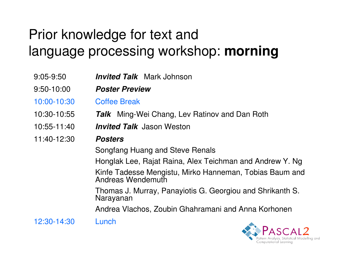# Prior knowledge for text andlanguage processing workshop: **morning**

9:05-9:50 **Invited Talk** Mark Johnson 9:50-10:00 **Poster Preview**10:00-10:30 Coffee Break10:30-10:55 **Talk** Ming-Wei Chang, Lev Ratinov and Dan Roth 10:55-11:40 **Invited Talk** Jason Weston 11:40-12:30 **Posters** Songfang Huang and Steve RenalsHonglak Lee, Rajat Raina, Alex Teichman and Andrew Y. Ng Kinfe Tadesse Mengistu, Mirko Hanneman, Tobias Baum and Andreas WendemuthThomas J. Murray, Panayiotis G. Georgiou and Shrikanth S. Narayanan Andrea Vlachos, Zoubin Ghahramani and Anna Korhonen12:30-14:30 Lunch

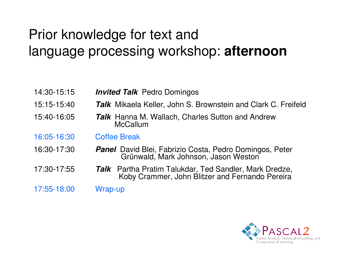## Prior knowledge for text andlanguage processing workshop: **afternoon**

- 14:30-15:15 **Invited Talk** Pedro Domingos
- 15:15-15:40 Talk Mikaela Keller, John S. Brownstein and Clark C. Freifeld
- 15:40-16:05 **Talk**Talk Hanna M. Wallach, Charles Sutton and Andrew **McCallum**
- 16:05-16:30 Coffee Break
- 16:30-17:30 **Panel**Panel David Blei, Fabrizio Costa, Pedro Domingos, Peter<br>Grünwald, Mark Johnson, Jason Weston
- 17:30-17:55 **TalkTalk** Partha Pratim Talukdar, Ted Sandler, Mark Dredze, Koby Crammer, John Blitzer and Fernando Pereira
- 17:55-18:00 Wrap-up

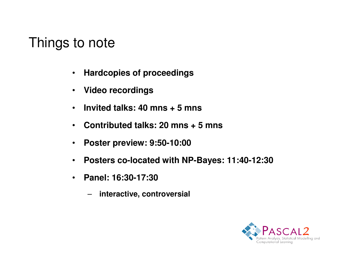#### Things to note

- $\bullet$ **Hardcopies of proceedings**
- $\bullet$ **Video recordings**
- $\bullet$ **Invited talks: 40 mns + 5 mns**
- $\bullet$ **Contributed talks: 20 mns + 5 mns**
- $\bullet$ **Poster preview: 9:50-10:00**
- $\bullet$ **Posters co-located with NP-Bayes: 11:40-12:30**
- $\bullet$  **Panel: 16:30-17:30** 
	- –**interactive, controversial**